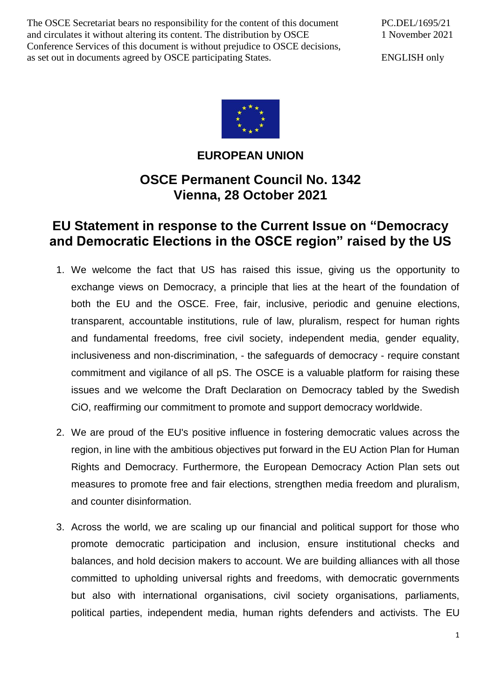The OSCE Secretariat bears no responsibility for the content of this document and circulates it without altering its content. The distribution by OSCE Conference Services of this document is without prejudice to OSCE decisions, as set out in documents agreed by OSCE participating States.

PC.DEL/1695/21 1 November 2021

ENGLISH only



### **EUROPEAN UNION**

# **OSCE Permanent Council No. 1342 Vienna, 28 October 2021**

## **EU Statement in response to the Current Issue on "Democracy and Democratic Elections in the OSCE region" raised by the US**

- 1. We welcome the fact that US has raised this issue, giving us the opportunity to exchange views on Democracy, a principle that lies at the heart of the foundation of both the EU and the OSCE. Free, fair, inclusive, periodic and genuine elections, transparent, accountable institutions, rule of law, pluralism, respect for human rights and fundamental freedoms, free civil society, independent media, gender equality, inclusiveness and non-discrimination, - the safeguards of democracy - require constant commitment and vigilance of all pS. The OSCE is a valuable platform for raising these issues and we welcome the Draft Declaration on Democracy tabled by the Swedish CiO, reaffirming our commitment to promote and support democracy worldwide.
- 2. We are proud of the EU's positive influence in fostering democratic values across the region, in line with the ambitious objectives put forward in the EU Action Plan for Human Rights and Democracy. Furthermore, the European Democracy Action Plan sets out measures to promote free and fair elections, strengthen media freedom and pluralism, and counter disinformation.
- 3. Across the world, we are scaling up our financial and political support for those who promote democratic participation and inclusion, ensure institutional checks and balances, and hold decision makers to account. We are building alliances with all those committed to upholding universal rights and freedoms, with democratic governments but also with international organisations, civil society organisations, parliaments, political parties, independent media, human rights defenders and activists. The EU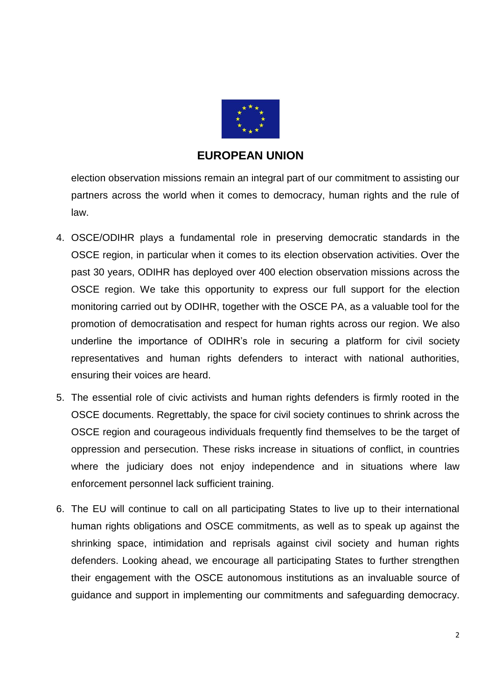

#### **EUROPEAN UNION**

election observation missions remain an integral part of our commitment to assisting our partners across the world when it comes to democracy, human rights and the rule of law.

- 4. OSCE/ODIHR plays a fundamental role in preserving democratic standards in the OSCE region, in particular when it comes to its election observation activities. Over the past 30 years, ODIHR has deployed over 400 election observation missions across the OSCE region. We take this opportunity to express our full support for the election monitoring carried out by ODIHR, together with the OSCE PA, as a valuable tool for the promotion of democratisation and respect for human rights across our region. We also underline the importance of ODIHR's role in securing a platform for civil society representatives and human rights defenders to interact with national authorities, ensuring their voices are heard.
- 5. The essential role of civic activists and human rights defenders is firmly rooted in the OSCE documents. Regrettably, the space for civil society continues to shrink across the OSCE region and courageous individuals frequently find themselves to be the target of oppression and persecution. These risks increase in situations of conflict, in countries where the judiciary does not enjoy independence and in situations where law enforcement personnel lack sufficient training.
- 6. The EU will continue to call on all participating States to live up to their international human rights obligations and OSCE commitments, as well as to speak up against the shrinking space, intimidation and reprisals against civil society and human rights defenders. Looking ahead, we encourage all participating States to further strengthen their engagement with the OSCE autonomous institutions as an invaluable source of guidance and support in implementing our commitments and safeguarding democracy.